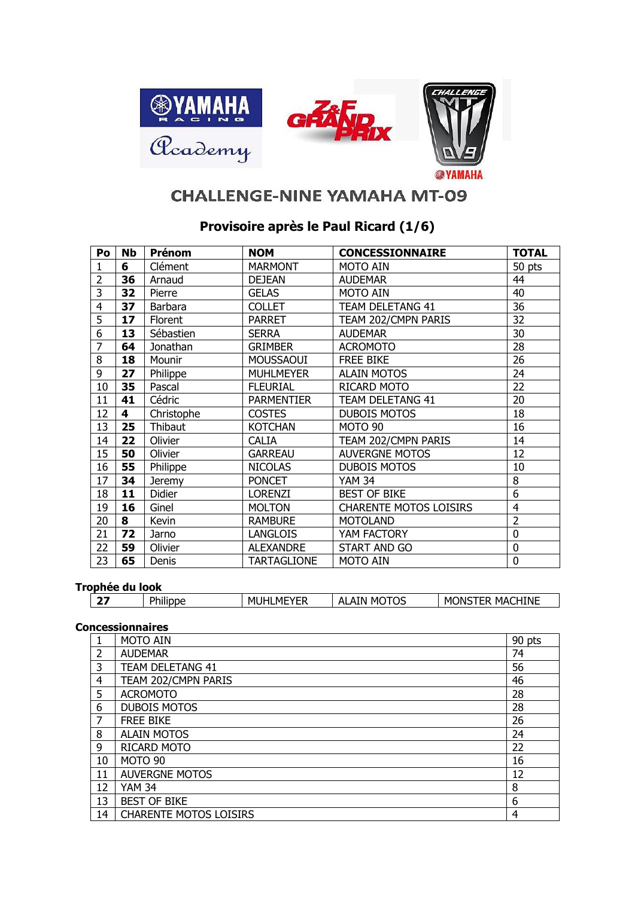

## **CHALLENGE-NINE YAMAHA MT-09**

## **Provisoire après le Paul Ricard (1/6)**

| Po             | <b>Nb</b> | Prénom          | <b>NOM</b>         | <b>CONCESSIONNAIRE</b>        | <b>TOTAL</b>   |
|----------------|-----------|-----------------|--------------------|-------------------------------|----------------|
| 1              | 6         | Clément         | <b>MARMONT</b>     | <b>MOTO AIN</b>               | 50 pts         |
| $\overline{2}$ | 36        | Arnaud          | <b>DEJEAN</b>      | <b>AUDEMAR</b>                | 44             |
| 3              | 32        | Pierre          | <b>GELAS</b>       | <b>MOTO AIN</b>               | 40             |
| 4              | 37        | Barbara         | <b>COLLET</b>      | <b>TEAM DELETANG 41</b>       | 36             |
| 5              | 17        | Florent         | <b>PARRET</b>      | TEAM 202/CMPN PARIS           | 32             |
| 6              | 13        | Sébastien       | <b>SERRA</b>       | <b>AUDEMAR</b>                | 30             |
| 7              | 64        | Jonathan        | <b>GRIMBER</b>     | <b>ACROMOTO</b>               | 28             |
| 8              | 18        | Mounir          | <b>MOUSSAOUI</b>   | <b>FREE BIKE</b>              | 26             |
| 9              | 27        | <b>Philippe</b> | <b>MUHLMEYER</b>   | <b>ALAIN MOTOS</b>            | 24             |
| 10             | 35        | Pascal          | <b>FLEURIAL</b>    | RICARD MOTO                   | 22             |
| 11             | 41        | Cédric          | <b>PARMENTIER</b>  | <b>TEAM DELETANG 41</b>       | 20             |
| 12             | 4         | Christophe      | <b>COSTES</b>      | <b>DUBOIS MOTOS</b>           | 18             |
| 13             | 25        | Thibaut         | <b>KOTCHAN</b>     | MOTO 90                       | 16             |
| 14             | 22        | Olivier         | <b>CALIA</b>       | TEAM 202/CMPN PARIS           | 14             |
| 15             | 50        | Olivier         | <b>GARREAU</b>     | <b>AUVERGNE MOTOS</b>         | 12             |
| 16             | 55        | Philippe        | <b>NICOLAS</b>     | <b>DUBOIS MOTOS</b>           | 10             |
| 17             | 34        | <b>Jeremy</b>   | <b>PONCET</b>      | <b>YAM 34</b>                 | 8              |
| 18             | 11        | <b>Didier</b>   | <b>LORENZI</b>     | <b>BEST OF BIKE</b>           | 6              |
| 19             | 16        | Ginel           | <b>MOLTON</b>      | <b>CHARENTE MOTOS LOISIRS</b> | $\overline{4}$ |
| 20             | 8         | Kevin           | <b>RAMBURE</b>     | <b>MOTOLAND</b>               | $\overline{2}$ |
| 21             | 72        | Jarno           | <b>LANGLOIS</b>    | YAM FACTORY                   | $\mathbf 0$    |
| 22             | 59        | Olivier         | <b>ALEXANDRE</b>   | START AND GO                  | 0              |
| 23             | 65        | Denis           | <b>TARTAGLIONE</b> | <b>MOTO AIN</b>               | $\overline{0}$ |

## **Trophée du look**

| <b>UPIILL AN IVON</b> |                              |                                                              |                                                  |                                                  |  |  |
|-----------------------|------------------------------|--------------------------------------------------------------|--------------------------------------------------|--------------------------------------------------|--|--|
| $-$                   | <b>Dh</b><br><br><b>IDDC</b> | $\overline{\phantom{a}}$<br>мı<br>MЬ<br>VLL.<br>ــ<br>ີ<br>. | ---<br>۰IN<br>٦C<br>мı<br>$\mathbf{v}$<br>∼<br>ັ | HINE<br>-<br>MA'<br>мı<br>)N.<br>دا سا<br>$\sim$ |  |  |

## **Concessionnaires**

|    | <b>MOTO AIN</b>               | 90 pts |
|----|-------------------------------|--------|
| 2  | <b>AUDEMAR</b>                | 74     |
| 3  | <b>TEAM DELETANG 41</b>       | 56     |
| 4  | TEAM 202/CMPN PARIS           | 46     |
| 5  | <b>ACROMOTO</b>               | 28     |
| 6  | <b>DUBOIS MOTOS</b>           | 28     |
| 7  | <b>FREE BIKE</b>              | 26     |
| 8  | <b>ALAIN MOTOS</b>            | 24     |
| 9  | RICARD MOTO                   | 22     |
| 10 | MOTO 90                       | 16     |
| 11 | <b>AUVERGNE MOTOS</b>         | 12     |
| 12 | <b>YAM 34</b>                 | 8      |
| 13 | <b>BEST OF BIKE</b>           | 6      |
| 14 | <b>CHARENTE MOTOS LOISIRS</b> | 4      |